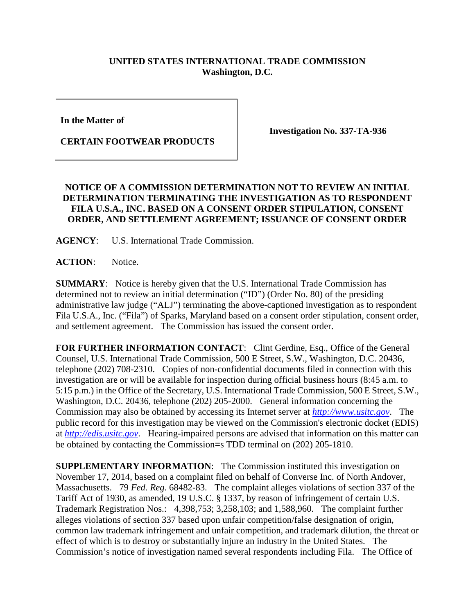## **UNITED STATES INTERNATIONAL TRADE COMMISSION Washington, D.C.**

**In the Matter of** 

**CERTAIN FOOTWEAR PRODUCTS**

**Investigation No. 337-TA-936**

## **NOTICE OF A COMMISSION DETERMINATION NOT TO REVIEW AN INITIAL DETERMINATION TERMINATING THE INVESTIGATION AS TO RESPONDENT FILA U.S.A., INC. BASED ON A CONSENT ORDER STIPULATION, CONSENT ORDER, AND SETTLEMENT AGREEMENT; ISSUANCE OF CONSENT ORDER**

**AGENCY**: U.S. International Trade Commission.

**ACTION**: Notice.

**SUMMARY**: Notice is hereby given that the U.S. International Trade Commission has determined not to review an initial determination ("ID") (Order No. 80) of the presiding administrative law judge ("ALJ") terminating the above-captioned investigation as to respondent Fila U.S.A., Inc. ("Fila") of Sparks, Maryland based on a consent order stipulation, consent order, and settlement agreement. The Commission has issued the consent order.

FOR FURTHER INFORMATION CONTACT: Clint Gerdine, Esq., Office of the General Counsel, U.S. International Trade Commission, 500 E Street, S.W., Washington, D.C. 20436, telephone (202) 708-2310. Copies of non-confidential documents filed in connection with this investigation are or will be available for inspection during official business hours (8:45 a.m. to 5:15 p.m.) in the Office of the Secretary, U.S. International Trade Commission, 500 E Street, S.W., Washington, D.C. 20436, telephone (202) 205-2000. General information concerning the Commission may also be obtained by accessing its Internet server at *[http://www.usitc.gov](http://www.usitc.gov/)*. The public record for this investigation may be viewed on the Commission's electronic docket (EDIS) at *[http://edis.usitc.gov](http://edis.usitc.gov/)*. Hearing-impaired persons are advised that information on this matter can be obtained by contacting the Commission=s TDD terminal on (202) 205-1810.

**SUPPLEMENTARY INFORMATION:** The Commission instituted this investigation on November 17, 2014, based on a complaint filed on behalf of Converse Inc. of North Andover, Massachusetts. 79 *Fed. Reg.* 68482-83. The complaint alleges violations of section 337 of the Tariff Act of 1930, as amended, 19 U.S.C. § 1337, by reason of infringement of certain U.S. Trademark Registration Nos.: 4,398,753; 3,258,103; and 1,588,960. The complaint further alleges violations of section 337 based upon unfair competition/false designation of origin, common law trademark infringement and unfair competition, and trademark dilution, the threat or effect of which is to destroy or substantially injure an industry in the United States. The Commission's notice of investigation named several respondents including Fila. The Office of